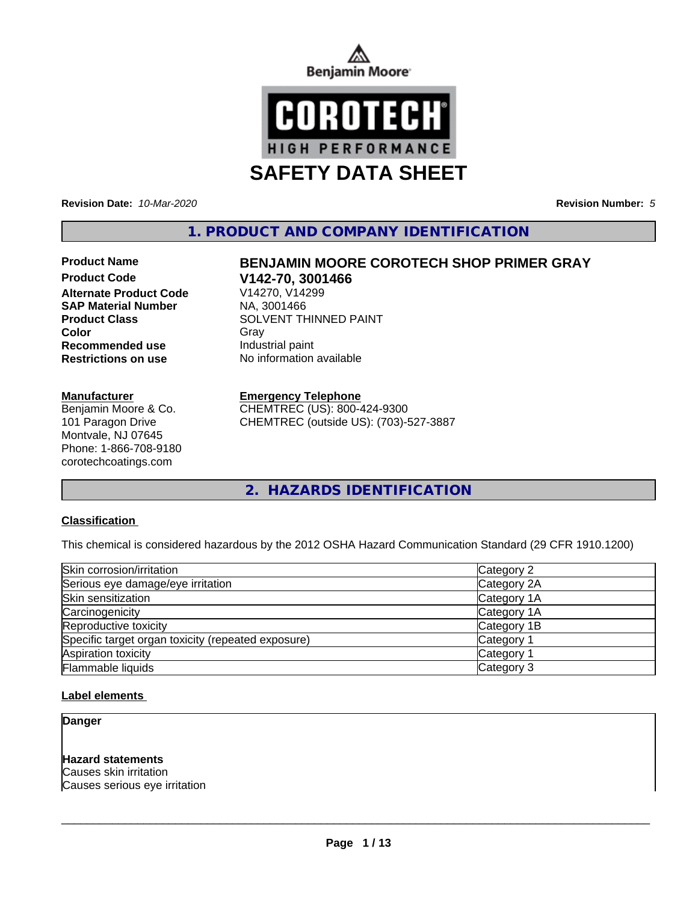



**Revision Date:** *10-Mar-2020* **Revision Number:** *5*

**1. PRODUCT AND COMPANY IDENTIFICATION**

# **Product Code V142-70, 3001466 Alternate Product Code SAP Material Number** NA, 3001466 **Recommended use** Industrial paint

#### **Manufacturer**

Benjamin Moore & Co. 101 Paragon Drive Montvale, NJ 07645 Phone: 1-866-708-9180 corotechcoatings.com

# **Product Name BENJAMIN MOORE COROTECH SHOP PRIMER GRAY**

**Product Class**<br>
Color<br>
Gray<br>
Gray **Color** Gray Gray **Restrictions on use** No information available

# **Emergency Telephone**

CHEMTREC (US): 800-424-9300 CHEMTREC (outside US): (703)-527-3887

**2. HAZARDS IDENTIFICATION**

## **Classification**

This chemical is considered hazardous by the 2012 OSHA Hazard Communication Standard (29 CFR 1910.1200)

| Skin corrosion/irritation                          | Category 2            |
|----------------------------------------------------|-----------------------|
| Serious eye damage/eye irritation                  | Category 2A           |
| Skin sensitization                                 | Category 1A           |
| Carcinogenicity                                    | Category 1A           |
| Reproductive toxicity                              | Category 1B           |
| Specific target organ toxicity (repeated exposure) | Category 1            |
| Aspiration toxicity                                | Category <sup>2</sup> |
| Flammable liquids                                  | Category 3            |

## **Label elements**

### **Danger**

# **Hazard statements**

Causes skin irritation Causes serious eye irritation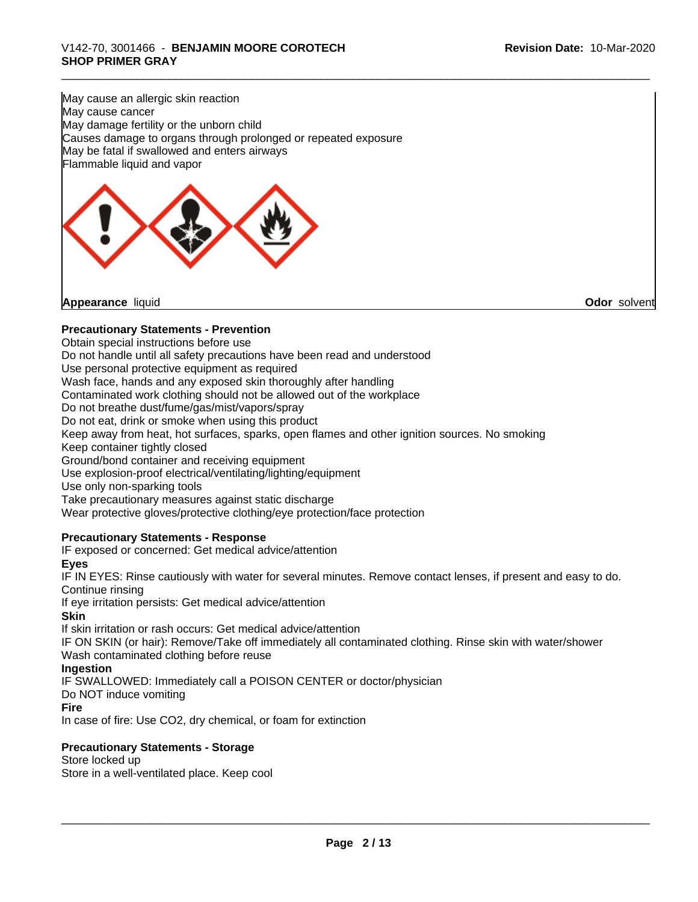May cause an allergic skin reaction May cause cancer May damage fertility or the unborn child Causes damage to organs through prolonged or repeated exposure May be fatal if swallowed and enters airways Flammable liquid and vapor



**Appearance** liquid **Odor** solvent

## **Precautionary Statements - Prevention**

Obtain special instructions before use

Do not handle until all safety precautions have been read and understood

Use personal protective equipment as required

Wash face, hands and any exposed skin thoroughly after handling

Contaminated work clothing should not be allowed out of the workplace

Do not breathe dust/fume/gas/mist/vapors/spray

Do not eat, drink or smoke when using this product

Keep away from heat, hot surfaces, sparks, open flames and other ignition sources. No smoking Keep container tightly closed

Ground/bond container and receiving equipment

Use explosion-proof electrical/ventilating/lighting/equipment

Use only non-sparking tools

Take precautionary measures against static discharge

Wear protective gloves/protective clothing/eye protection/face protection

#### **Precautionary Statements - Response**

IF exposed or concerned: Get medical advice/attention

**Eyes**

IF IN EYES: Rinse cautiously with water forseveral minutes. Remove contact lenses, if present and easy to do. Continue rinsing

If eye irritation persists: Get medical advice/attention

#### **Skin**

If skin irritation or rash occurs: Get medical advice/attention

IF ON SKIN (or hair): Remove/Take off immediately all contaminated clothing. Rinse skin with water/shower Wash contaminated clothing before reuse

## **Ingestion**

IF SWALLOWED: Immediately call a POISON CENTER or doctor/physician

Do NOT induce vomiting

#### **Fire**

In case of fire: Use CO2, dry chemical, or foam for extinction

## **Precautionary Statements - Storage**

Store locked up

Store in a well-ventilated place. Keep cool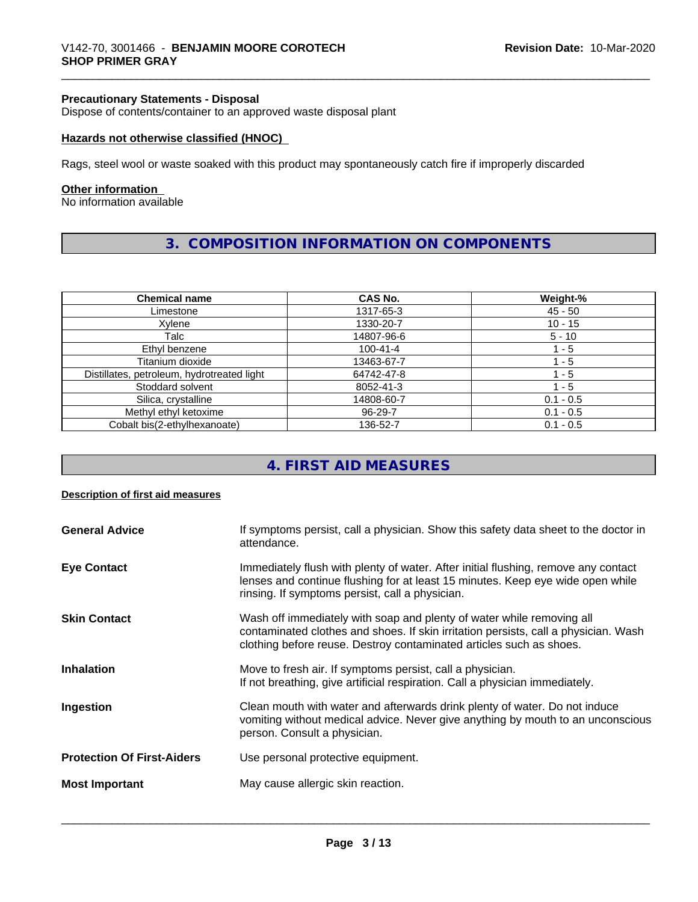#### **Precautionary Statements - Disposal**

Dispose of contents/container to an approved waste disposal plant

#### **Hazards not otherwise classified (HNOC)**

Rags, steel wool or waste soaked with this product may spontaneously catch fire if improperly discarded

#### **Other information**

No information available

# **3. COMPOSITION INFORMATION ON COMPONENTS**

| <b>Chemical name</b>                       | <b>CAS No.</b> | Weight-%    |
|--------------------------------------------|----------------|-------------|
| Limestone                                  | 1317-65-3      | $45 - 50$   |
| Xylene                                     | 1330-20-7      | $10 - 15$   |
| Talc                                       | 14807-96-6     | $5 - 10$    |
| Ethyl benzene                              | $100 - 41 - 4$ | - 5         |
| Titanium dioxide                           | 13463-67-7     | 1 - 5       |
| Distillates, petroleum, hydrotreated light | 64742-47-8     | 1 - 5       |
| Stoddard solvent                           | 8052-41-3      | - 5         |
| Silica, crystalline                        | 14808-60-7     | $0.1 - 0.5$ |
| Methyl ethyl ketoxime                      | 96-29-7        | $0.1 - 0.5$ |
| Cobalt bis(2-ethylhexanoate)               | 136-52-7       | $0.1 - 0.5$ |

# **4. FIRST AID MEASURES**

#### **Description of first aid measures**

| <b>General Advice</b>             | If symptoms persist, call a physician. Show this safety data sheet to the doctor in<br>attendance.                                                                                                                                  |
|-----------------------------------|-------------------------------------------------------------------------------------------------------------------------------------------------------------------------------------------------------------------------------------|
| <b>Eye Contact</b>                | Immediately flush with plenty of water. After initial flushing, remove any contact<br>lenses and continue flushing for at least 15 minutes. Keep eye wide open while<br>rinsing. If symptoms persist, call a physician.             |
| <b>Skin Contact</b>               | Wash off immediately with soap and plenty of water while removing all<br>contaminated clothes and shoes. If skin irritation persists, call a physician. Wash<br>clothing before reuse. Destroy contaminated articles such as shoes. |
| <b>Inhalation</b>                 | Move to fresh air. If symptoms persist, call a physician.<br>If not breathing, give artificial respiration. Call a physician immediately.                                                                                           |
| Ingestion                         | Clean mouth with water and afterwards drink plenty of water. Do not induce<br>vomiting without medical advice. Never give anything by mouth to an unconscious<br>person. Consult a physician.                                       |
| <b>Protection Of First-Aiders</b> | Use personal protective equipment.                                                                                                                                                                                                  |
| <b>Most Important</b>             | May cause allergic skin reaction.                                                                                                                                                                                                   |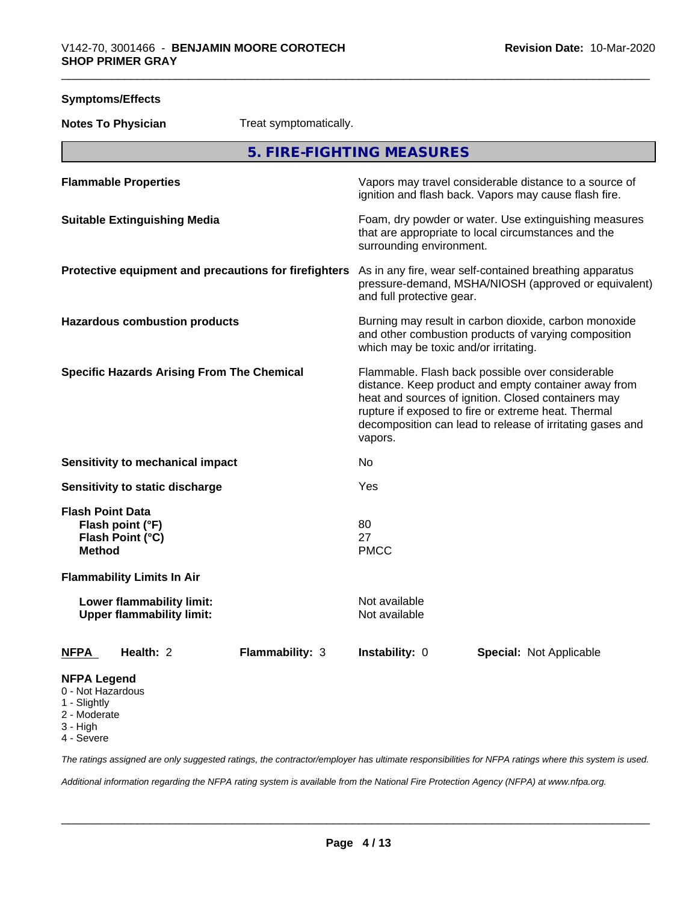| <b>Symptoms/Effects</b>                                                                                   |                                                                                                                                                                                                                                                                                                |  |
|-----------------------------------------------------------------------------------------------------------|------------------------------------------------------------------------------------------------------------------------------------------------------------------------------------------------------------------------------------------------------------------------------------------------|--|
| Treat symptomatically.<br><b>Notes To Physician</b>                                                       |                                                                                                                                                                                                                                                                                                |  |
|                                                                                                           | 5. FIRE-FIGHTING MEASURES                                                                                                                                                                                                                                                                      |  |
| <b>Flammable Properties</b>                                                                               | Vapors may travel considerable distance to a source of<br>ignition and flash back. Vapors may cause flash fire.                                                                                                                                                                                |  |
| <b>Suitable Extinguishing Media</b>                                                                       | Foam, dry powder or water. Use extinguishing measures<br>that are appropriate to local circumstances and the<br>surrounding environment.                                                                                                                                                       |  |
| Protective equipment and precautions for firefighters                                                     | As in any fire, wear self-contained breathing apparatus<br>pressure-demand, MSHA/NIOSH (approved or equivalent)<br>and full protective gear.                                                                                                                                                   |  |
| <b>Hazardous combustion products</b>                                                                      | Burning may result in carbon dioxide, carbon monoxide<br>and other combustion products of varying composition<br>which may be toxic and/or irritating.                                                                                                                                         |  |
| <b>Specific Hazards Arising From The Chemical</b>                                                         | Flammable. Flash back possible over considerable<br>distance. Keep product and empty container away from<br>heat and sources of ignition. Closed containers may<br>rupture if exposed to fire or extreme heat. Thermal<br>decomposition can lead to release of irritating gases and<br>vapors. |  |
| <b>Sensitivity to mechanical impact</b>                                                                   | No                                                                                                                                                                                                                                                                                             |  |
| Sensitivity to static discharge                                                                           | Yes                                                                                                                                                                                                                                                                                            |  |
| <b>Flash Point Data</b><br>Flash point (°F)<br>Flash Point (°C)<br><b>Method</b>                          | 80<br>27<br><b>PMCC</b>                                                                                                                                                                                                                                                                        |  |
| <b>Flammability Limits In Air</b><br><b>Lower flammability limit:</b><br><b>Upper flammability limit:</b> | Not available<br>Not available                                                                                                                                                                                                                                                                 |  |
| Health: 2<br><b>Flammability: 3</b><br><u>NFPA</u>                                                        | Instability: 0<br><b>Special: Not Applicable</b>                                                                                                                                                                                                                                               |  |
| <b>NFPA Legend</b><br>0 - Not Hazardous<br>1 - Slightly<br>2 - Moderate<br>O Lligh                        |                                                                                                                                                                                                                                                                                                |  |

- 3 High
- 4 Severe

*The ratings assigned are only suggested ratings, the contractor/employer has ultimate responsibilities for NFPA ratings where this system is used.*

*Additional information regarding the NFPA rating system is available from the National Fire Protection Agency (NFPA) at www.nfpa.org.*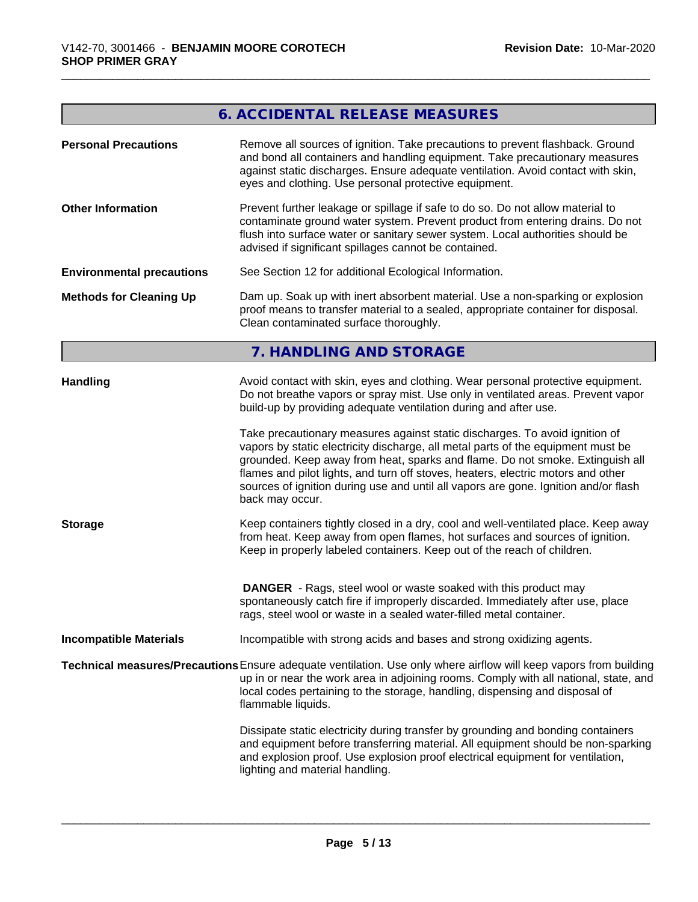# **6. ACCIDENTAL RELEASE MEASURES**

| <b>Personal Precautions</b>      | Remove all sources of ignition. Take precautions to prevent flashback. Ground<br>and bond all containers and handling equipment. Take precautionary measures<br>against static discharges. Ensure adequate ventilation. Avoid contact with skin,<br>eyes and clothing. Use personal protective equipment.                                                                                                                                      |  |  |  |  |
|----------------------------------|------------------------------------------------------------------------------------------------------------------------------------------------------------------------------------------------------------------------------------------------------------------------------------------------------------------------------------------------------------------------------------------------------------------------------------------------|--|--|--|--|
| <b>Other Information</b>         | Prevent further leakage or spillage if safe to do so. Do not allow material to<br>contaminate ground water system. Prevent product from entering drains. Do not<br>flush into surface water or sanitary sewer system. Local authorities should be<br>advised if significant spillages cannot be contained.                                                                                                                                     |  |  |  |  |
| <b>Environmental precautions</b> | See Section 12 for additional Ecological Information.                                                                                                                                                                                                                                                                                                                                                                                          |  |  |  |  |
| <b>Methods for Cleaning Up</b>   | Dam up. Soak up with inert absorbent material. Use a non-sparking or explosion<br>proof means to transfer material to a sealed, appropriate container for disposal.<br>Clean contaminated surface thoroughly.                                                                                                                                                                                                                                  |  |  |  |  |
|                                  | 7. HANDLING AND STORAGE                                                                                                                                                                                                                                                                                                                                                                                                                        |  |  |  |  |
| <b>Handling</b>                  | Avoid contact with skin, eyes and clothing. Wear personal protective equipment.<br>Do not breathe vapors or spray mist. Use only in ventilated areas. Prevent vapor<br>build-up by providing adequate ventilation during and after use.                                                                                                                                                                                                        |  |  |  |  |
|                                  | Take precautionary measures against static discharges. To avoid ignition of<br>vapors by static electricity discharge, all metal parts of the equipment must be<br>grounded. Keep away from heat, sparks and flame. Do not smoke. Extinguish all<br>flames and pilot lights, and turn off stoves, heaters, electric motors and other<br>sources of ignition during use and until all vapors are gone. Ignition and/or flash<br>back may occur. |  |  |  |  |
| <b>Storage</b>                   | Keep containers tightly closed in a dry, cool and well-ventilated place. Keep away<br>from heat. Keep away from open flames, hot surfaces and sources of ignition.<br>Keep in properly labeled containers. Keep out of the reach of children.                                                                                                                                                                                                  |  |  |  |  |
|                                  | <b>DANGER</b> - Rags, steel wool or waste soaked with this product may<br>spontaneously catch fire if improperly discarded. Immediately after use, place<br>rags, steel wool or waste in a sealed water-filled metal container.                                                                                                                                                                                                                |  |  |  |  |
| <b>Incompatible Materials</b>    | Incompatible with strong acids and bases and strong oxidizing agents.                                                                                                                                                                                                                                                                                                                                                                          |  |  |  |  |
|                                  | Technical measures/Precautions Ensure adequate ventilation. Use only where airflow will keep vapors from building<br>up in or near the work area in adjoining rooms. Comply with all national, state, and<br>local codes pertaining to the storage, handling, dispensing and disposal of<br>flammable liquids.                                                                                                                                 |  |  |  |  |
|                                  | Dissipate static electricity during transfer by grounding and bonding containers<br>and equipment before transferring material. All equipment should be non-sparking<br>and explosion proof. Use explosion proof electrical equipment for ventilation,<br>lighting and material handling.                                                                                                                                                      |  |  |  |  |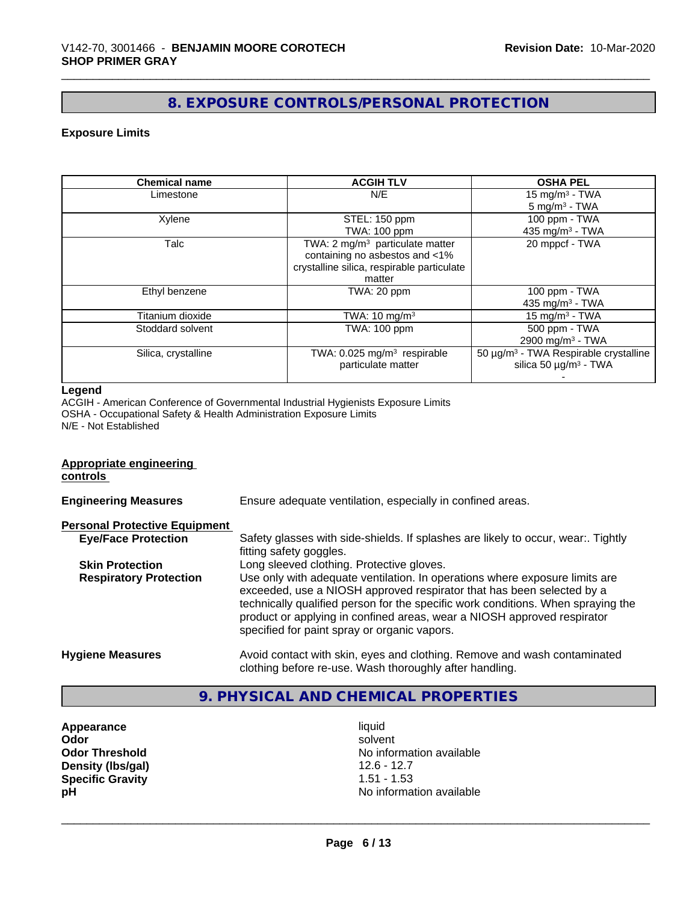# **8. EXPOSURE CONTROLS/PERSONAL PROTECTION**

## **Exposure Limits**

| <b>Chemical name</b> | <b>ACGIH TLV</b>                            | <b>OSHA PEL</b>                                   |
|----------------------|---------------------------------------------|---------------------------------------------------|
| Limestone            | N/E                                         | $15 \text{ mg/m}^3$ - TWA                         |
|                      |                                             | $5 \text{ mg/m}^3$ - TWA                          |
| Xylene               | STEL: 150 ppm                               | 100 ppm - TWA                                     |
|                      | <b>TWA: 100 ppm</b>                         | 435 mg/m <sup>3</sup> - TWA                       |
| Talc                 | TWA: 2 mg/m <sup>3</sup> particulate matter | 20 mppcf - TWA                                    |
|                      | containing no asbestos and <1%              |                                                   |
|                      | crystalline silica, respirable particulate  |                                                   |
|                      | matter                                      |                                                   |
| Ethyl benzene        | TWA: 20 ppm                                 | 100 ppm - TWA                                     |
|                      |                                             | 435 mg/m <sup>3</sup> - TWA                       |
| Titanium dioxide     | TWA: $10 \text{ mg/m}^3$                    | 15 mg/m $3$ - TWA                                 |
| Stoddard solvent     | TWA: 100 ppm                                | 500 ppm - TWA                                     |
|                      |                                             | 2900 mg/m <sup>3</sup> - TWA                      |
| Silica, crystalline  | TWA: 0.025 mg/m <sup>3</sup> respirable     | 50 µg/m <sup>3</sup> - TWA Respirable crystalline |
|                      | particulate matter                          | silica 50 $\mu$ g/m <sup>3</sup> - TWA            |
|                      |                                             |                                                   |

#### **Legend**

ACGIH - American Conference of Governmental Industrial Hygienists Exposure Limits OSHA - Occupational Safety & Health Administration Exposure Limits N/E - Not Established

#### **Appropriate engineering controls**

| <b>Engineering Measures</b>          | Ensure adequate ventilation, especially in confined areas.                                                                                                                                                                                                                                                                                                          |
|--------------------------------------|---------------------------------------------------------------------------------------------------------------------------------------------------------------------------------------------------------------------------------------------------------------------------------------------------------------------------------------------------------------------|
| <b>Personal Protective Equipment</b> |                                                                                                                                                                                                                                                                                                                                                                     |
| <b>Eye/Face Protection</b>           | Safety glasses with side-shields. If splashes are likely to occur, wear:. Tightly<br>fitting safety goggles.                                                                                                                                                                                                                                                        |
| <b>Skin Protection</b>               | Long sleeved clothing. Protective gloves.                                                                                                                                                                                                                                                                                                                           |
| <b>Respiratory Protection</b>        | Use only with adequate ventilation. In operations where exposure limits are<br>exceeded, use a NIOSH approved respirator that has been selected by a<br>technically qualified person for the specific work conditions. When spraying the<br>product or applying in confined areas, wear a NIOSH approved respirator<br>specified for paint spray or organic vapors. |
| <b>Hygiene Measures</b>              | Avoid contact with skin, eyes and clothing. Remove and wash contaminated<br>clothing before re-use. Wash thoroughly after handling.                                                                                                                                                                                                                                 |

# **9. PHYSICAL AND CHEMICAL PROPERTIES**

**Appearance** liquid and **Appearance** liquid liquid solvent **Density (lbs/gal) Specific Gravity** 1.51 - 1.53

**Odor** solvent **Odor Threshold**<br> **Density (Ibs/qal)**<br> **Density (Ibs/qal)**<br> **Density (Ibs/qal) pH** No information available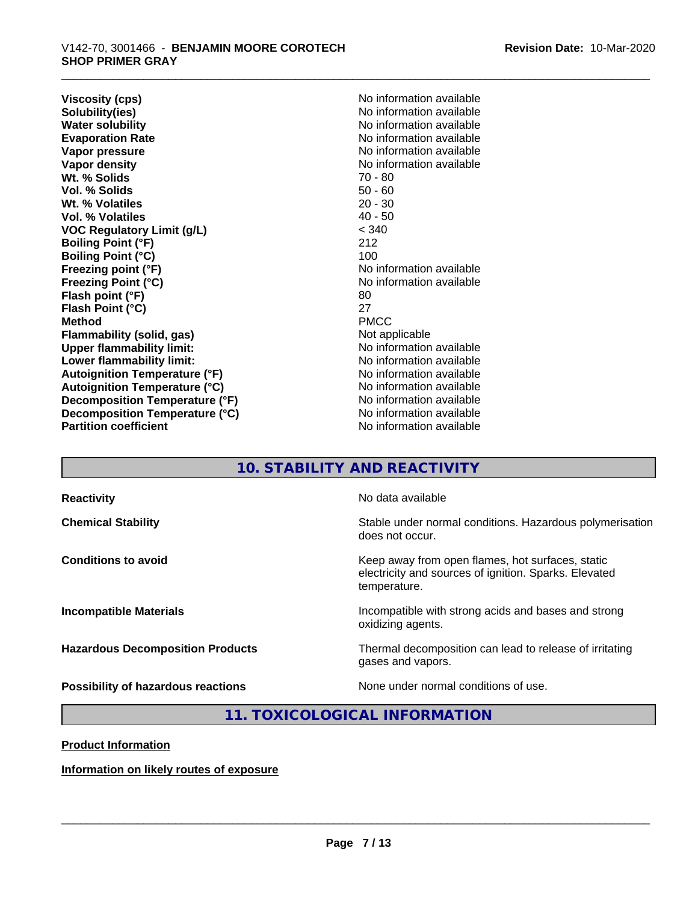**Viscosity (cps)** No information available<br> **Solubility(ies)** No information available **Solubility(ies)**<br> **No information available**<br> **Water solubility**<br> **Water solubility Evaporation Rate Evaporation Rate** No information available<br> **Vapor pressure** No information available **Vapor density Vapor** density **Wt. % Solids** 70 - 80<br> **Vol. % Solids** 50 - 60 **Vol. % Solids** 50 - 60 **Wt. % Volatiles Vol. % Volatiles** 40 - 50 **VOC Regulatory Limit (g/L)** < 340 **Boiling Point (°F)** 212 **Boiling Point (°C)** 100<br> **Freezing point (°F)** No i **Freezing Point (°C)** No information available **Flash point (°F)** 80<br> **Flash Point (°C)** 827 **Flash Point (°C)** 27 **Method** PMCC **Flammability (solid, gas)**<br> **Commability limit:**<br>
Under flammability limit:<br>
Under the Note information available **Upper flammability limit: Lower flammability limit:** No information available **Lower** flammability limit: **Autoignition Temperature (°F)** No information available **Autoignition Temperature (°C)** No information available **Decomposition Temperature (°F)**<br> **Decomposition Temperature (°C)** No information available **Decomposition Temperature (°C)**<br>Partition coefficient

**No information available No information available No information available No information available** 

# **10. STABILITY AND REACTIVITY**

| <b>Reactivity</b>                       | No data available                                                                                                         |
|-----------------------------------------|---------------------------------------------------------------------------------------------------------------------------|
| <b>Chemical Stability</b>               | Stable under normal conditions. Hazardous polymerisation<br>does not occur.                                               |
| <b>Conditions to avoid</b>              | Keep away from open flames, hot surfaces, static<br>electricity and sources of ignition. Sparks. Elevated<br>temperature. |
| <b>Incompatible Materials</b>           | Incompatible with strong acids and bases and strong<br>oxidizing agents.                                                  |
| <b>Hazardous Decomposition Products</b> | Thermal decomposition can lead to release of irritating<br>gases and vapors.                                              |
| Possibility of hazardous reactions      | None under normal conditions of use.                                                                                      |

# **11. TOXICOLOGICAL INFORMATION**

**Product Information**

**Information on likely routes of exposure**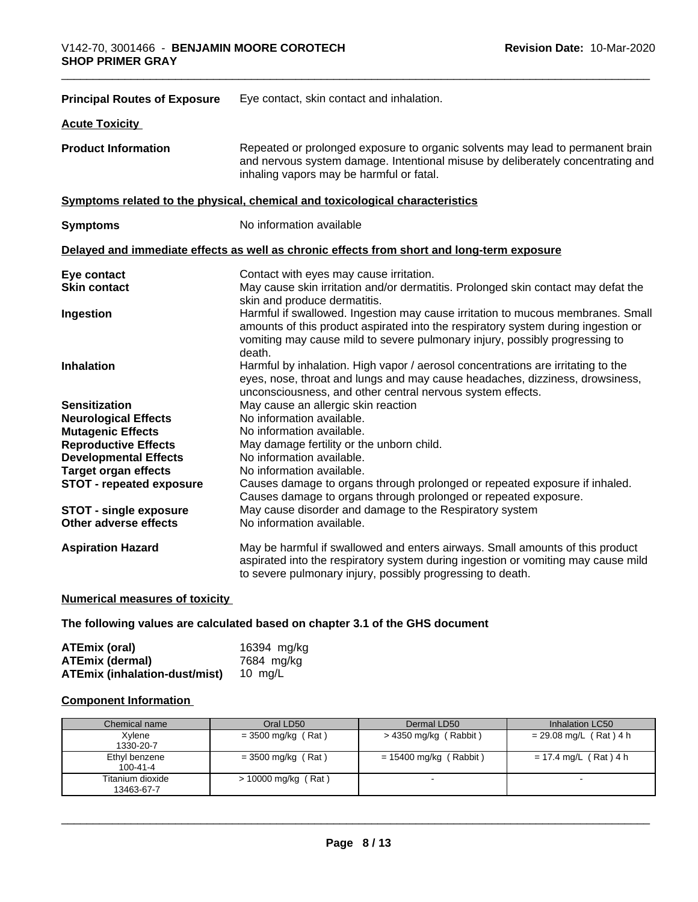| <b>Principal Routes of Exposure</b>                     | Eye contact, skin contact and inhalation.                                                                                                                                                                                                                     |  |  |
|---------------------------------------------------------|---------------------------------------------------------------------------------------------------------------------------------------------------------------------------------------------------------------------------------------------------------------|--|--|
| <b>Acute Toxicity</b>                                   |                                                                                                                                                                                                                                                               |  |  |
| <b>Product Information</b>                              | Repeated or prolonged exposure to organic solvents may lead to permanent brain<br>and nervous system damage. Intentional misuse by deliberately concentrating and<br>inhaling vapors may be harmful or fatal.                                                 |  |  |
|                                                         | Symptoms related to the physical, chemical and toxicological characteristics                                                                                                                                                                                  |  |  |
| <b>Symptoms</b>                                         | No information available                                                                                                                                                                                                                                      |  |  |
|                                                         | Delayed and immediate effects as well as chronic effects from short and long-term exposure                                                                                                                                                                    |  |  |
| Eye contact                                             | Contact with eyes may cause irritation.                                                                                                                                                                                                                       |  |  |
| <b>Skin contact</b>                                     | May cause skin irritation and/or dermatitis. Prolonged skin contact may defat the<br>skin and produce dermatitis.                                                                                                                                             |  |  |
| Ingestion                                               | Harmful if swallowed. Ingestion may cause irritation to mucous membranes. Small<br>amounts of this product aspirated into the respiratory system during ingestion or<br>vomiting may cause mild to severe pulmonary injury, possibly progressing to<br>death. |  |  |
| <b>Inhalation</b>                                       | Harmful by inhalation. High vapor / aerosol concentrations are irritating to the<br>eyes, nose, throat and lungs and may cause headaches, dizziness, drowsiness,<br>unconsciousness, and other central nervous system effects.                                |  |  |
| <b>Sensitization</b>                                    | May cause an allergic skin reaction                                                                                                                                                                                                                           |  |  |
| <b>Neurological Effects</b>                             | No information available.                                                                                                                                                                                                                                     |  |  |
| <b>Mutagenic Effects</b><br><b>Reproductive Effects</b> | No information available.<br>May damage fertility or the unborn child.                                                                                                                                                                                        |  |  |
| <b>Developmental Effects</b>                            | No information available.                                                                                                                                                                                                                                     |  |  |
| <b>Target organ effects</b>                             | No information available.                                                                                                                                                                                                                                     |  |  |
| <b>STOT - repeated exposure</b>                         | Causes damage to organs through prolonged or repeated exposure if inhaled.<br>Causes damage to organs through prolonged or repeated exposure.                                                                                                                 |  |  |
| <b>STOT - single exposure</b><br>Other adverse effects  | May cause disorder and damage to the Respiratory system<br>No information available.                                                                                                                                                                          |  |  |
| <b>Aspiration Hazard</b>                                | May be harmful if swallowed and enters airways. Small amounts of this product<br>aspirated into the respiratory system during ingestion or vomiting may cause mild<br>to severe pulmonary injury, possibly progressing to death.                              |  |  |

#### **Numerical measures of toxicity**

**The following values are calculated based on chapter 3.1 of the GHS document**

| ATEmix (oral)                                | 16394 mg/kg |
|----------------------------------------------|-------------|
| <b>ATEmix (dermal)</b>                       | 7684 mg/kg  |
| <b>ATEmix (inhalation-dust/mist)</b> 10 mg/L |             |

# **Component Information**

| Chemical name                   | Oral LD50             | Dermal LD50              | Inhalation LC50          |
|---------------------------------|-----------------------|--------------------------|--------------------------|
| Xylene<br>1330-20-7             | $=$ 3500 mg/kg (Rat)  | > 4350 mg/kg (Rabbit)    | $= 29.08$ mg/L (Rat) 4 h |
| Ethyl benzene<br>$100 - 41 - 4$ | $=$ 3500 mg/kg (Rat)  | $= 15400$ mg/kg (Rabbit) | $= 17.4$ mg/L (Rat) 4 h  |
| Titanium dioxide<br>13463-67-7  | $> 10000$ mg/kg (Rat) |                          | $\sim$                   |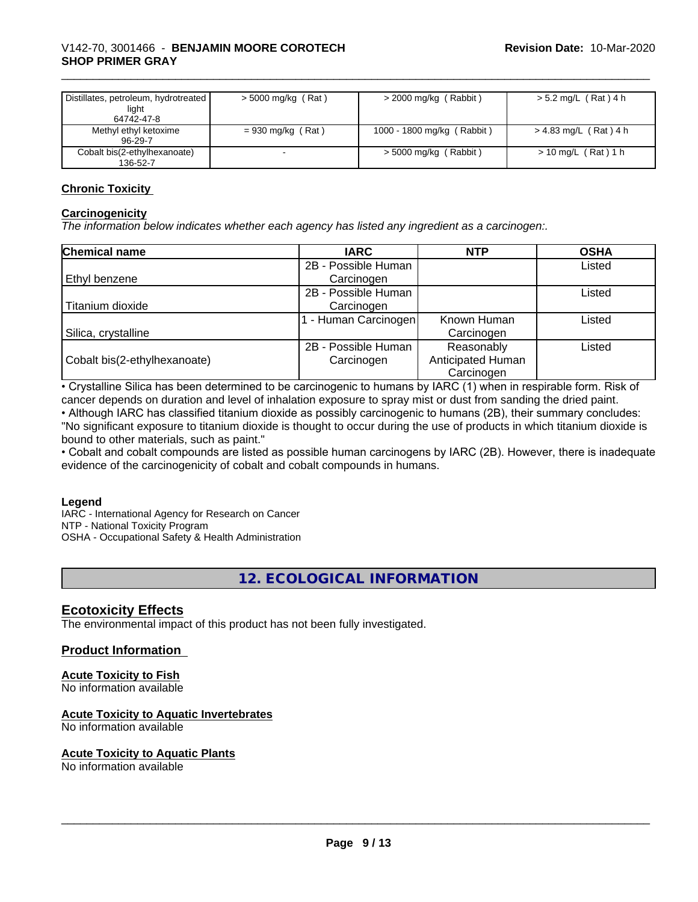| Distillates, petroleum, hydrotreated<br>light<br>64742-47-8 | $>$ 5000 mg/kg (Rat) | $>$ 2000 mg/kg (Rabbit)    | > 5.2 mg/L (Rat) 4 h    |
|-------------------------------------------------------------|----------------------|----------------------------|-------------------------|
| Methyl ethyl ketoxime<br>96-29-7                            | $= 930$ mg/kg (Rat)  | 1000 - 1800 mg/kg (Rabbit) | $> 4.83$ mg/L (Rat) 4 h |
| Cobalt bis(2-ethylhexanoate)<br>136-52-7                    |                      | $>$ 5000 mg/kg (Rabbit)    | $> 10$ mg/L (Rat) 1 h   |

#### **Chronic Toxicity**

#### **Carcinogenicity**

*The information below indicateswhether each agency has listed any ingredient as a carcinogen:.*

| <b>Chemical name</b>         | <b>IARC</b>         | <b>NTP</b>        | <b>OSHA</b> |
|------------------------------|---------------------|-------------------|-------------|
|                              | 2B - Possible Human |                   | Listed      |
| <b>Ethyl benzene</b>         | Carcinogen          |                   |             |
|                              | 2B - Possible Human |                   | Listed      |
| Titanium dioxide             | Carcinogen          |                   |             |
|                              | - Human Carcinogen  | Known Human       | Listed      |
| Silica, crystalline          |                     | Carcinogen        |             |
|                              | 2B - Possible Human | Reasonably        | Listed      |
| Cobalt bis(2-ethylhexanoate) | Carcinogen          | Anticipated Human |             |
|                              |                     | Carcinogen        |             |

• Crystalline Silica has been determined to be carcinogenic to humans by IARC (1) when in respirable form. Risk of cancer depends on duration and level of inhalation exposure to spray mist or dust from sanding the dried paint.

• Although IARC has classified titanium dioxide as possibly carcinogenic to humans (2B), their summary concludes: "No significant exposure to titanium dioxide is thought to occur during the use of products in which titanium dioxide is bound to other materials, such as paint."

• Cobalt and cobalt compounds are listed as possible human carcinogens by IARC (2B). However, there is inadequate evidence of the carcinogenicity of cobalt and cobalt compounds in humans.

#### **Legend**

IARC - International Agency for Research on Cancer NTP - National Toxicity Program OSHA - Occupational Safety & Health Administration

**12. ECOLOGICAL INFORMATION**

# **Ecotoxicity Effects**

The environmental impact of this product has not been fully investigated.

#### **Product Information**

# **Acute Toxicity to Fish**

No information available

# **Acute Toxicity to Aquatic Invertebrates**

No information available

#### **Acute Toxicity to Aquatic Plants**

No information available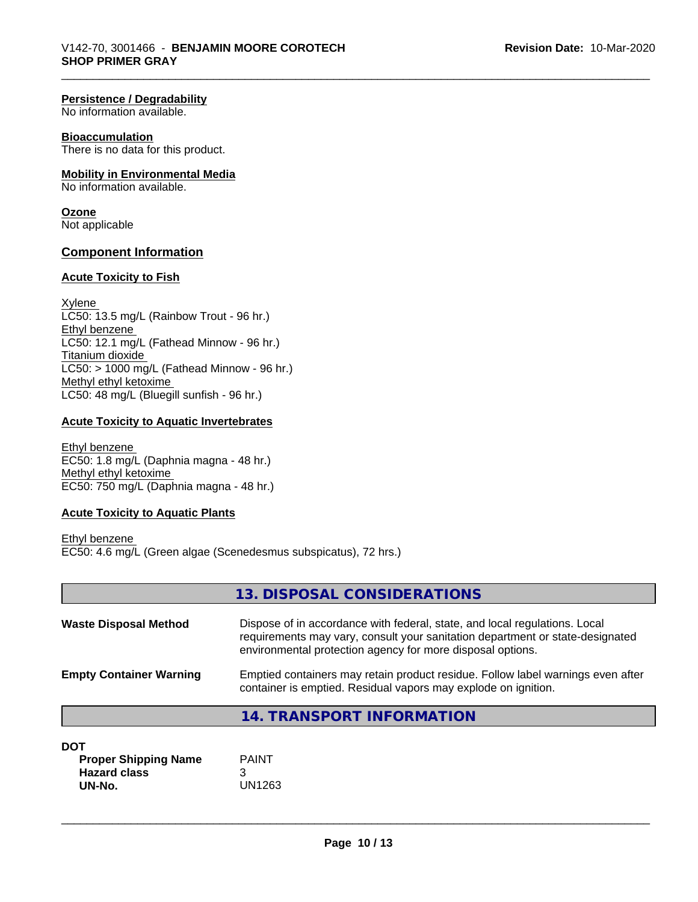#### **Persistence / Degradability**

No information available.

#### **Bioaccumulation**

There is no data for this product.

#### **Mobility in Environmental Media**

No information available.

# **Ozone**

Not applicable

#### **Component Information**

#### **Acute Toxicity to Fish**

Xylene LC50: 13.5 mg/L (Rainbow Trout - 96 hr.) Ethyl benzene LC50: 12.1 mg/L (Fathead Minnow - 96 hr.) Titanium dioxide  $LCS0: > 1000$  mg/L (Fathead Minnow - 96 hr.) Methyl ethyl ketoxime LC50: 48 mg/L (Bluegill sunfish - 96 hr.)

# **Acute Toxicity to Aquatic Invertebrates**

Ethyl benzene EC50: 1.8 mg/L (Daphnia magna - 48 hr.) Methyl ethyl ketoxime EC50: 750 mg/L (Daphnia magna - 48 hr.)

#### **Acute Toxicity to Aquatic Plants**

Ethyl benzene EC50: 4.6 mg/L (Green algae (Scenedesmus subspicatus), 72 hrs.)

|                                           | 13. DISPOSAL CONSIDERATIONS                                                                                                                                                                                               |
|-------------------------------------------|---------------------------------------------------------------------------------------------------------------------------------------------------------------------------------------------------------------------------|
| <b>Waste Disposal Method</b>              | Dispose of in accordance with federal, state, and local regulations. Local<br>requirements may vary, consult your sanitation department or state-designated<br>environmental protection agency for more disposal options. |
| <b>Empty Container Warning</b>            | Emptied containers may retain product residue. Follow label warnings even after<br>container is emptied. Residual vapors may explode on ignition.                                                                         |
|                                           | <b>14. TRANSPORT INFORMATION</b>                                                                                                                                                                                          |
| <b>DOT</b><br><b>Proper Shipping Name</b> | <b>PAINT</b>                                                                                                                                                                                                              |

| <b>Proper Shipping Name</b> | <b>PAINT</b> |
|-----------------------------|--------------|
| <b>Hazard class</b>         |              |
| UN-No.                      | UN1263       |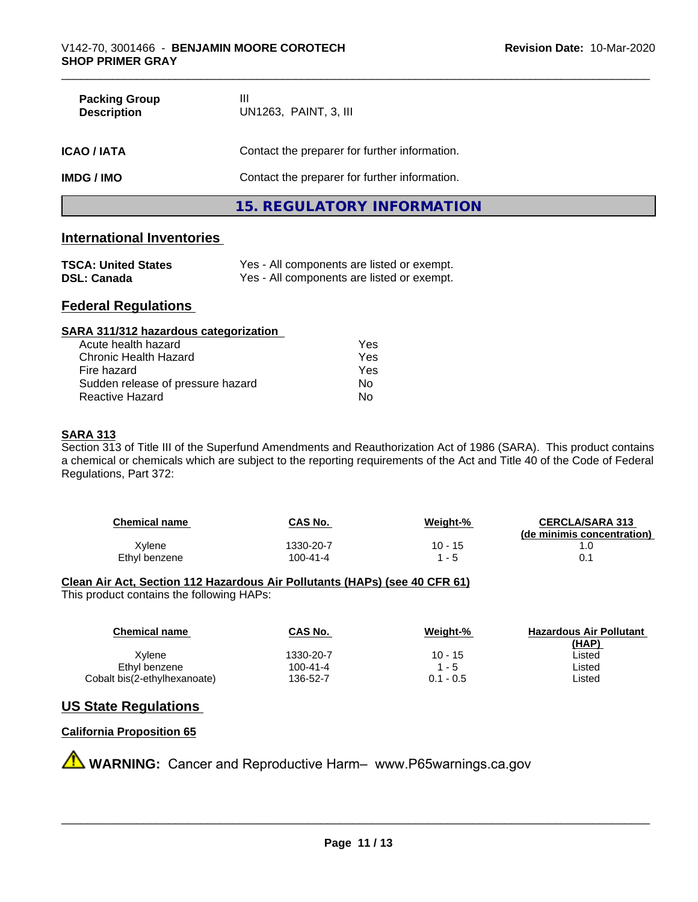| <b>Packing Group</b><br><b>Description</b> | Ш<br>UN1263, PAINT, 3, III                    |  |
|--------------------------------------------|-----------------------------------------------|--|
| <b>ICAO/IATA</b>                           | Contact the preparer for further information. |  |
| <b>IMDG / IMO</b>                          | Contact the preparer for further information. |  |
|                                            | 15. REGULATORY INFORMATION                    |  |

# **International Inventories**

| <b>TSCA: United States</b> | Yes - All components are listed or exempt. |
|----------------------------|--------------------------------------------|
| <b>DSL: Canada</b>         | Yes - All components are listed or exempt. |

# **Federal Regulations**

| SARA 311/312 hazardous categorization |     |  |
|---------------------------------------|-----|--|
| Acute health hazard                   | Yes |  |
| Chronic Health Hazard                 | Yes |  |
| Fire hazard                           | Yes |  |
| Sudden release of pressure hazard     | No  |  |
| Reactive Hazard                       | No  |  |

## **SARA 313**

Section 313 of Title III of the Superfund Amendments and Reauthorization Act of 1986 (SARA). This product contains a chemical or chemicals which are subject to the reporting requirements of the Act and Title 40 of the Code of Federal Regulations, Part 372:

| <b>Chemical name</b> | <b>CAS No.</b> | Weight-%  | <b>CERCLA/SARA 313</b><br>(de minimis concentration) |
|----------------------|----------------|-----------|------------------------------------------------------|
| Xylene               | 1330-20-7      | $10 - 15$ |                                                      |
| Ethyl benzene        | 100-41-4       | " - 5     |                                                      |

# **Clean Air Act,Section 112 Hazardous Air Pollutants (HAPs) (see 40 CFR 61)**

This product contains the following HAPs:

| <b>Chemical name</b>         | <b>CAS No.</b> | Weight-%    | <b>Hazardous Air Pollutant</b> |
|------------------------------|----------------|-------------|--------------------------------|
|                              |                |             | (HAP)                          |
| Xvlene                       | 1330-20-7      | $10 - 15$   | ∟isted                         |
| Ethyl benzene                | $100 - 41 - 4$ | 1 - 5       | ∟isted                         |
| Cobalt bis(2-ethylhexanoate) | 136-52-7       | $0.1 - 0.5$ | ∟isted                         |

# **US State Regulations**

### **California Proposition 65**

**A WARNING:** Cancer and Reproductive Harm– www.P65warnings.ca.gov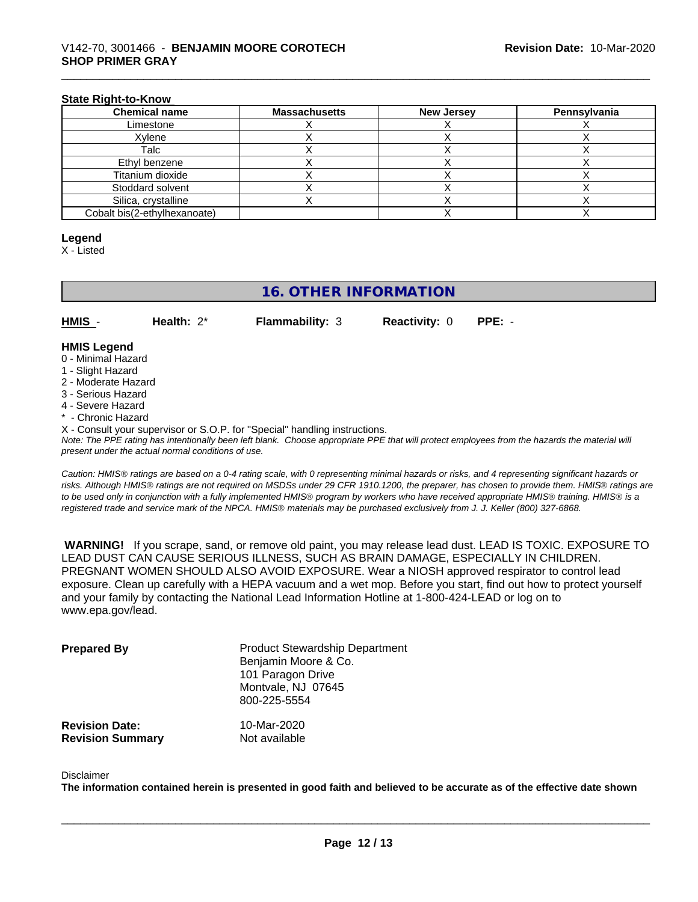#### **State Right-to-Know**

| <b>Chemical name</b>         | <b>Massachusetts</b> | <b>New Jersey</b> | Pennsylvania |
|------------------------------|----------------------|-------------------|--------------|
| Limestone                    |                      |                   |              |
| Xvlene                       |                      |                   |              |
| Talc                         |                      |                   |              |
| Ethyl benzene                |                      |                   |              |
| Titanium dioxide             |                      |                   |              |
| Stoddard solvent             |                      |                   |              |
| Silica, crystalline          |                      |                   |              |
| Cobalt bis(2-ethylhexanoate) |                      |                   |              |

#### **Legend**

X - Listed

# **16. OTHER INFORMATION**

**HMIS** - **Health:** 2\* **Flammability:** 3 **Reactivity:** 0 **PPE:** -

#### **HMIS Legend**

- 0 Minimal Hazard
- 1 Slight Hazard
- 2 Moderate Hazard
- 3 Serious Hazard
- 4 Severe Hazard
- \* Chronic Hazard
- X Consult your supervisor or S.O.P. for "Special" handling instructions.

*Note: The PPE rating has intentionally been left blank. Choose appropriate PPE that will protect employees from the hazards the material will present under the actual normal conditions of use.*

*Caution: HMISÒ ratings are based on a 0-4 rating scale, with 0 representing minimal hazards or risks, and 4 representing significant hazards or risks. Although HMISÒ ratings are not required on MSDSs under 29 CFR 1910.1200, the preparer, has chosen to provide them. HMISÒ ratings are to be used only in conjunction with a fully implemented HMISÒ program by workers who have received appropriate HMISÒ training. HMISÒ is a registered trade and service mark of the NPCA. HMISÒ materials may be purchased exclusively from J. J. Keller (800) 327-6868.*

 **WARNING!** If you scrape, sand, or remove old paint, you may release lead dust. LEAD IS TOXIC. EXPOSURE TO LEAD DUST CAN CAUSE SERIOUS ILLNESS, SUCH AS BRAIN DAMAGE, ESPECIALLY IN CHILDREN. PREGNANT WOMEN SHOULD ALSO AVOID EXPOSURE.Wear a NIOSH approved respirator to control lead exposure. Clean up carefully with a HEPA vacuum and a wet mop. Before you start, find out how to protect yourself and your family by contacting the National Lead Information Hotline at 1-800-424-LEAD or log on to www.epa.gov/lead.

| <b>Prepared By</b>                               | <b>Product Stewardship Department</b><br>Benjamin Moore & Co.<br>101 Paragon Drive<br>Montvale, NJ 07645<br>800-225-5554 |  |
|--------------------------------------------------|--------------------------------------------------------------------------------------------------------------------------|--|
| <b>Revision Date:</b><br><b>Revision Summary</b> | 10-Mar-2020<br>Not available                                                                                             |  |

#### Disclaimer

The information contained herein is presented in good faith and believed to be accurate as of the effective date shown